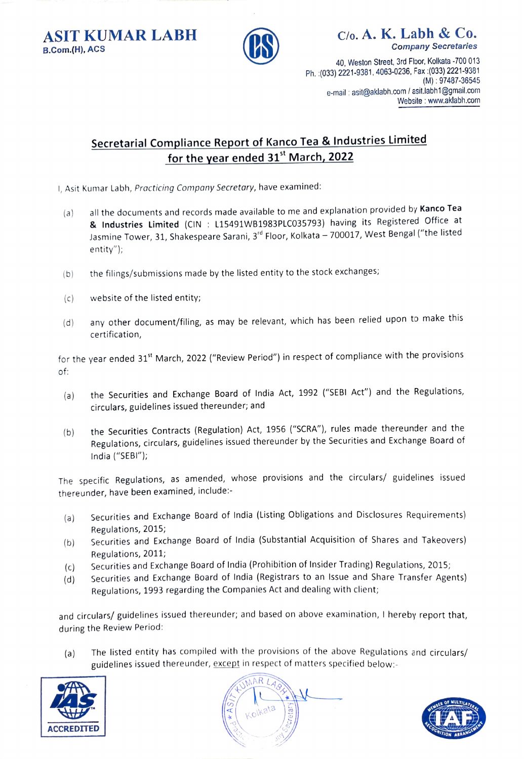B.Com.(H), ACS **Company Secretaries** 



ASIT KUMAR LABH  $\qquad \qquad \bigcap_{C/O. A. K. Labh \& C0.}$ 

40, Weston Street, 3rd Floor, Kolkata -700 013 Ph. :(033) 2221-9381, 4063-0236, Fax :(033) 2221-9381 (M): 97487-36545 e-mail: asit@aklabh.com / asit.labh1@gmail.com Website : www.aklabh.com

## Secretarial Compliance Report of Kanco Tea & Industries Limited for the year ended 31<sup>st</sup> March, 2022

- 1, Asit Kumar Labh, Practicing Company Secretary, have examined:
- all the documents and records made available to me and explanation provided by Kanco Tea & Industries Limited (CIN : L15491WB1983PLC035793) having its Registered Office at Jasmine Tower, 31, Shakespeare Sarani, 3<sup>rd</sup> Floor, Kolkata - 700017, West Bengal ("the listed entity");  $(a)$
- (b) the filings/submissions made by the listed entity to the stock exchanges;
- (c) website of the listed entity;
- any other document/filing, as may be relevant, which has been relied upon to make this certification, (d)

for the year ended 31<sup>st</sup> March, 2022 ("Review Period") in respect of compliance with the provisions of:

- (a) the Securities and Exchange Board of India Act, 1992 ("SEBI Act") and the Regulations, circulars, guidelines issued thereunder; and
- the Securities Contracts (Regulation) Act, 1956 ("SCRA"), rules made thereunder and the Regulations, circulars, guidelines issued thereunder by the Securities and Exchange Board of India ("SEBI"); (b)

The specific Regulations, as amended, whose provisions and the circulars/ guidelines issued thereunder, have been examined, include:

- (a) Securities and Exchange Board of India (Listing Obligations and Disclosures Requirements) Regulations, 2015;
- (b) Securities and Exchange Board of India (Substantial Acquisition of Shares and Takeovers) Regulations, 2011;
- (c) Securities and Exchange Board of India (Prohibition of Insider Trading) Regulations, 2015;
- (d) Securities and Exchange Board of India (Registrars to an Issue and Share Transfer Agents) Regulations, 1993 regarding the Companies Act and dealing with client;

and circulars/ guidelines issued thereunder; and based on above examination, I hereby report that, during the Review Period

(a) The listed entity has compiled with the provisions of the above Regulations and circulars/ guidelines issued thereunder, except in respect of matters specified below:-